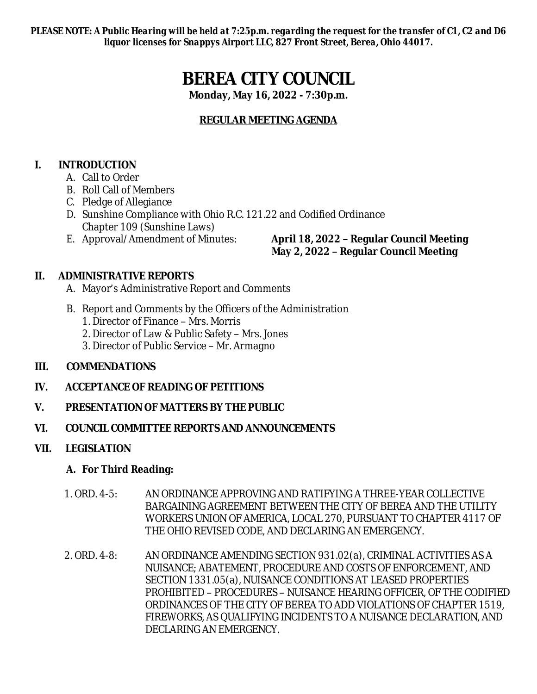*PLEASE NOTE: A Public Hearing will be held at 7:25p.m. regarding the request for the transfer of C1, C2 and D6 liquor licenses for Snappys Airport LLC, 827 Front Street, Berea, Ohio 44017.*

# **BEREA CITY COUNCIL**

**Monday, May 16, 2022 - 7:30p.m.**

# **REGULAR MEETING AGENDA**

# **I. INTRODUCTION**

- A. Call to Order
- B. Roll Call of Members
- C. Pledge of Allegiance
- D. Sunshine Compliance with Ohio R.C. 121.22 and Codified Ordinance Chapter 109 (Sunshine Laws)
- 

# E. Approval/Amendment of Minutes: **April 18, 2022 – Regular Council Meeting May 2, 2022 – Regular Council Meeting**

# **II. ADMINISTRATIVE REPORTS**

- A. Mayor's Administrative Report and Comments
- B. Report and Comments by the Officers of the Administration
	- 1. Director of Finance Mrs. Morris
	- 2. Director of Law & Public Safety Mrs. Jones
	- 3. Director of Public Service Mr. Armagno

# **III. COMMENDATIONS**

# **IV. ACCEPTANCE OF READING OF PETITIONS**

# **V. PRESENTATION OF MATTERS BY THE PUBLIC**

#### **VI. COUNCIL COMMITTEE REPORTS AND ANNOUNCEMENTS**

# **VII. LEGISLATION**

# **A. For Third Reading:**

- 1. ORD. 4-5: AN ORDINANCE APPROVING AND RATIFYING A THREE-YEAR COLLECTIVE BARGAINING AGREEMENT BETWEEN THE CITY OF BEREA AND THE UTILITY WORKERS UNION OF AMERICA, LOCAL 270, PURSUANT TO CHAPTER 4117 OF THE OHIO REVISED CODE, AND DECLARING AN EMERGENCY.
- 2. ORD. 4-8: AN ORDINANCE AMENDING SECTION 931.02(a), CRIMINAL ACTIVITIES AS A NUISANCE; ABATEMENT, PROCEDURE AND COSTS OF ENFORCEMENT, AND SECTION 1331.05(a), NUISANCE CONDITIONS AT LEASED PROPERTIES PROHIBITED – PROCEDURES – NUISANCE HEARING OFFICER, OF THE CODIFIED ORDINANCES OF THE CITY OF BEREA TO ADD VIOLATIONS OF CHAPTER 1519, FIREWORKS, AS QUALIFYING INCIDENTS TO A NUISANCE DECLARATION, AND DECLARING AN EMERGENCY.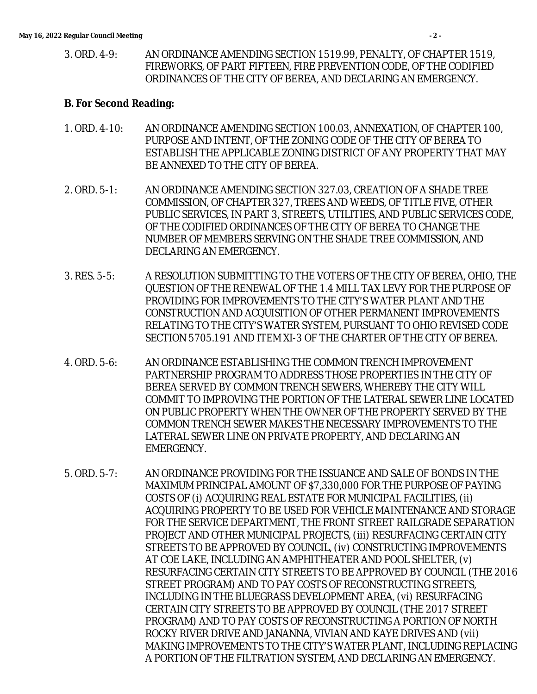3. ORD. 4-9: AN ORDINANCE AMENDING SECTION 1519.99, PENALTY, OF CHAPTER 1519, FIREWORKS, OF PART FIFTEEN, FIRE PREVENTION CODE, OF THE CODIFIED ORDINANCES OF THE CITY OF BEREA, AND DECLARING AN EMERGENCY.

#### **B. For Second Reading:**

- 1. ORD. 4-10: AN ORDINANCE AMENDING SECTION 100.03, ANNEXATION, OF CHAPTER 100, PURPOSE AND INTENT, OF THE ZONING CODE OF THE CITY OF BEREA TO ESTABLISH THE APPLICABLE ZONING DISTRICT OF ANY PROPERTY THAT MAY BE ANNEXED TO THE CITY OF BEREA.
- 2. ORD. 5-1: AN ORDINANCE AMENDING SECTION 327.03, CREATION OF A SHADE TREE COMMISSION, OF CHAPTER 327, TREES AND WEEDS, OF TITLE FIVE, OTHER PUBLIC SERVICES, IN PART 3, STREETS, UTILITIES, AND PUBLIC SERVICES CODE, OF THE CODIFIED ORDINANCES OF THE CITY OF BEREA TO CHANGE THE NUMBER OF MEMBERS SERVING ON THE SHADE TREE COMMISSION, AND DECLARING AN EMERGENCY.
- 3. RES. 5-5: A RESOLUTION SUBMITTING TO THE VOTERS OF THE CITY OF BEREA, OHIO, THE QUESTION OF THE RENEWAL OF THE 1.4 MILL TAX LEVY FOR THE PURPOSE OF PROVIDING FOR IMPROVEMENTS TO THE CITY'S WATER PLANT AND THE CONSTRUCTION AND ACQUISITION OF OTHER PERMANENT IMPROVEMENTS RELATING TO THE CITY'S WATER SYSTEM, PURSUANT TO OHIO REVISED CODE SECTION 5705.191 AND ITEM XI-3 OF THE CHARTER OF THE CITY OF BEREA.
- 4. ORD. 5-6: AN ORDINANCE ESTABLISHING THE COMMON TRENCH IMPROVEMENT PARTNERSHIP PROGRAM TO ADDRESS THOSE PROPERTIES IN THE CITY OF BEREA SERVED BY COMMON TRENCH SEWERS, WHEREBY THE CITY WILL COMMIT TO IMPROVING THE PORTION OF THE LATERAL SEWER LINE LOCATED ON PUBLIC PROPERTY WHEN THE OWNER OF THE PROPERTY SERVED BY THE COMMON TRENCH SEWER MAKES THE NECESSARY IMPROVEMENTS TO THE LATERAL SEWER LINE ON PRIVATE PROPERTY, AND DECLARING AN EMERGENCY.
- 5. ORD. 5-7: AN ORDINANCE PROVIDING FOR THE ISSUANCE AND SALE OF BONDS IN THE MAXIMUM PRINCIPAL AMOUNT OF \$7,330,000 FOR THE PURPOSE OF PAYING COSTS OF (i) ACQUIRING REAL ESTATE FOR MUNICIPAL FACILITIES, (ii) ACQUIRING PROPERTY TO BE USED FOR VEHICLE MAINTENANCE AND STORAGE FOR THE SERVICE DEPARTMENT, THE FRONT STREET RAILGRADE SEPARATION PROJECT AND OTHER MUNICIPAL PROJECTS, (iii) RESURFACING CERTAIN CITY STREETS TO BE APPROVED BY COUNCIL, (iv) CONSTRUCTING IMPROVEMENTS AT COE LAKE, INCLUDING AN AMPHITHEATER AND POOL SHELTER, (v) RESURFACING CERTAIN CITY STREETS TO BE APPROVED BY COUNCIL (THE 2016 STREET PROGRAM) AND TO PAY COSTS OF RECONSTRUCTING STREETS, INCLUDING IN THE BLUEGRASS DEVELOPMENT AREA, (vi) RESURFACING CERTAIN CITY STREETS TO BE APPROVED BY COUNCIL (THE 2017 STREET PROGRAM) AND TO PAY COSTS OF RECONSTRUCTING A PORTION OF NORTH ROCKY RIVER DRIVE AND JANANNA, VIVIAN AND KAYE DRIVES AND (vii) MAKING IMPROVEMENTS TO THE CITY'S WATER PLANT, INCLUDING REPLACING A PORTION OF THE FILTRATION SYSTEM, AND DECLARING AN EMERGENCY.